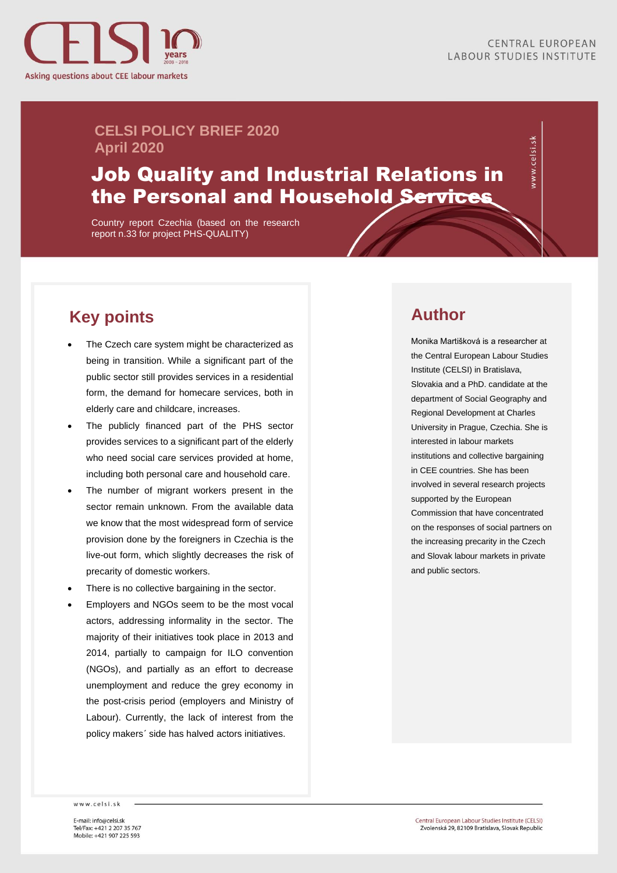

vww.celsi.sk

#### **CELSI POLICY BRIEF 2020 April 2020**

## Job Quality and Industrial Relations in the Personal and Household Services

Country report Czechia (based on the research report n.33 for project PHS-QUALITY)

## **Key points**

- The Czech care system might be characterized as being in transition. While a significant part of the public sector still provides services in a residential form, the demand for homecare services, both in elderly care and childcare, increases.
- The publicly financed part of the PHS sector provides services to a significant part of the elderly who need social care services provided at home, including both personal care and household care.
- The number of migrant workers present in the sector remain unknown. From the available data we know that the most widespread form of service provision done by the foreigners in Czechia is the live-out form, which slightly decreases the risk of precarity of domestic workers.
- There is no collective bargaining in the sector.
- Employers and NGOs seem to be the most vocal actors, addressing informality in the sector. The majority of their initiatives took place in 2013 and 2014, partially to campaign for ILO convention (NGOs), and partially as an effort to decrease unemployment and reduce the grey economy in the post-crisis period (employers and Ministry of Labour). Currently, the lack of interest from the policy makers´ side has halved actors initiatives.

### **Author**

Monika Martišková is a researcher at the Central European Labour Studies Institute (CELSI) in Bratislava, Slovakia and a PhD. candidate at the department of Social Geography and Regional Development at Charles University in Prague, Czechia. She is interested in labour markets institutions and collective bargaining in CEE countries. She has been involved in several research projects supported by the European Commission that have concentrated on the responses of social partners on the increasing precarity in the Czech and Slovak labour markets in private and public sectors.

www.celsi.sk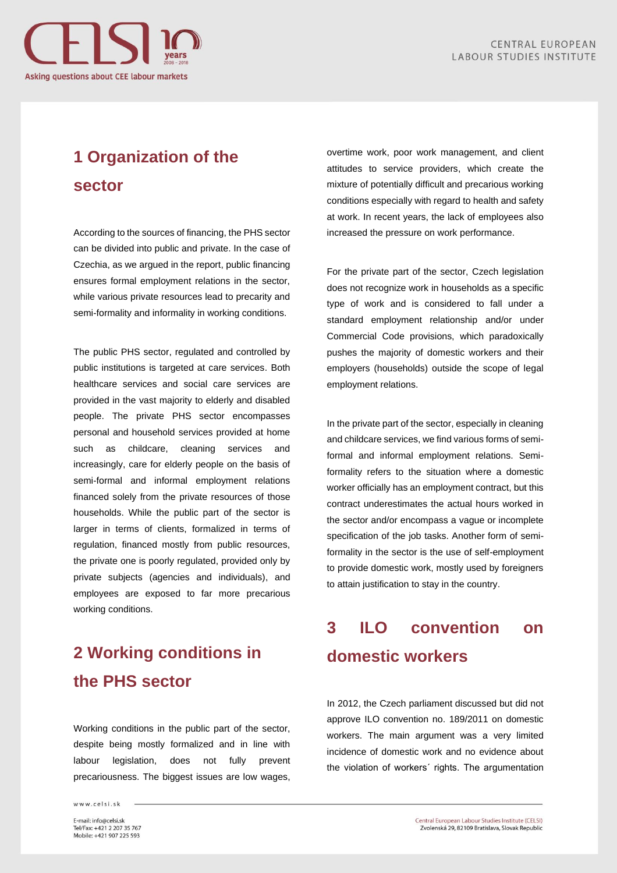

# **1 Organization of the sector**

According to the sources of financing, the PHS sector can be divided into public and private. In the case of Czechia, as we argued in the report, public financing ensures formal employment relations in the sector, while various private resources lead to precarity and semi-formality and informality in working conditions.

The public PHS sector, regulated and controlled by public institutions is targeted at care services. Both healthcare services and social care services are provided in the vast majority to elderly and disabled people. The private PHS sector encompasses personal and household services provided at home such as childcare, cleaning services and increasingly, care for elderly people on the basis of semi-formal and informal employment relations financed solely from the private resources of those households. While the public part of the sector is larger in terms of clients, formalized in terms of regulation, financed mostly from public resources, the private one is poorly regulated, provided only by private subjects (agencies and individuals), and employees are exposed to far more precarious working conditions.

## **2 Working conditions in the PHS sector**

Working conditions in the public part of the sector, despite being mostly formalized and in line with labour legislation, does not fully prevent precariousness. The biggest issues are low wages,

www.celsi.sk

overtime work, poor work management, and client attitudes to service providers, which create the mixture of potentially difficult and precarious working conditions especially with regard to health and safety at work. In recent years, the lack of employees also increased the pressure on work performance.

For the private part of the sector, Czech legislation does not recognize work in households as a specific type of work and is considered to fall under a standard employment relationship and/or under Commercial Code provisions, which paradoxically pushes the majority of domestic workers and their employers (households) outside the scope of legal employment relations.

In the private part of the sector, especially in cleaning and childcare services, we find various forms of semiformal and informal employment relations. Semiformality refers to the situation where a domestic worker officially has an employment contract, but this contract underestimates the actual hours worked in the sector and/or encompass a vague or incomplete specification of the job tasks. Another form of semiformality in the sector is the use of self-employment to provide domestic work, mostly used by foreigners to attain justification to stay in the country.

# **3 ILO convention on domestic workers**

In 2012, the Czech parliament discussed but did not approve ILO convention no. 189/2011 on domestic workers. The main argument was a very limited incidence of domestic work and no evidence about the violation of workers´ rights. The argumentation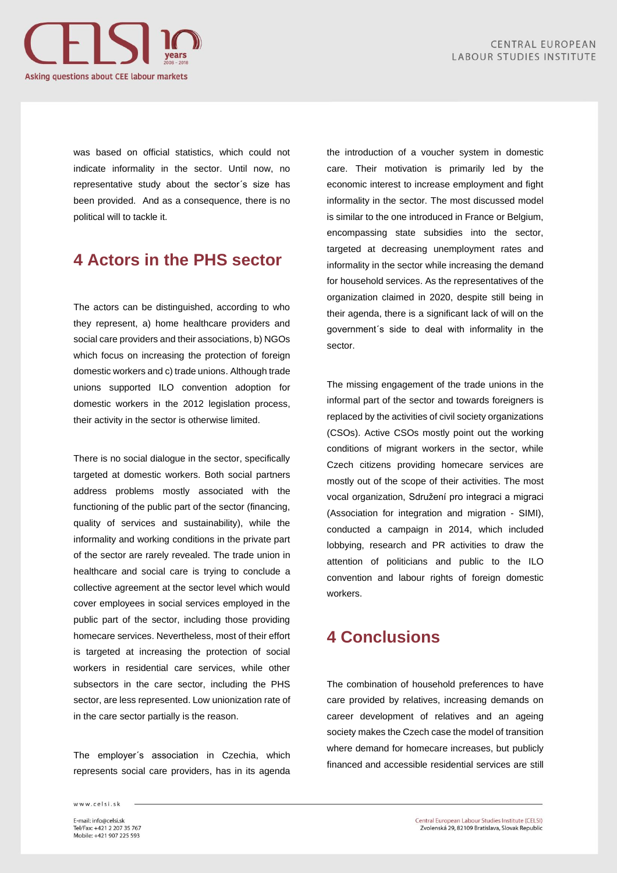

was based on official statistics, which could not indicate informality in the sector. Until now, no representative study about the sector´s size has been provided. And as a consequence, there is no political will to tackle it.

### **4 Actors in the PHS sector**

The actors can be distinguished, according to who they represent, a) home healthcare providers and social care providers and their associations, b) NGOs which focus on increasing the protection of foreign domestic workers and c) trade unions. Although trade unions supported ILO convention adoption for domestic workers in the 2012 legislation process, their activity in the sector is otherwise limited.

There is no social dialogue in the sector, specifically targeted at domestic workers. Both social partners address problems mostly associated with the functioning of the public part of the sector (financing, quality of services and sustainability), while the informality and working conditions in the private part of the sector are rarely revealed. The trade union in healthcare and social care is trying to conclude a collective agreement at the sector level which would cover employees in social services employed in the public part of the sector, including those providing homecare services. Nevertheless, most of their effort is targeted at increasing the protection of social workers in residential care services, while other subsectors in the care sector, including the PHS sector, are less represented. Low unionization rate of in the care sector partially is the reason.

The employer´s association in Czechia, which represents social care providers, has in its agenda the introduction of a voucher system in domestic care. Their motivation is primarily led by the economic interest to increase employment and fight informality in the sector. The most discussed model is similar to the one introduced in France or Belgium, encompassing state subsidies into the sector, targeted at decreasing unemployment rates and informality in the sector while increasing the demand for household services. As the representatives of the organization claimed in 2020, despite still being in their agenda, there is a significant lack of will on the government´s side to deal with informality in the sector.

The missing engagement of the trade unions in the informal part of the sector and towards foreigners is replaced by the activities of civil society organizations (CSOs). Active CSOs mostly point out the working conditions of migrant workers in the sector, while Czech citizens providing homecare services are mostly out of the scope of their activities. The most vocal organization, Sdružení pro integraci a migraci (Association for integration and migration - SIMI), conducted a campaign in 2014, which included lobbying, research and PR activities to draw the attention of politicians and public to the ILO convention and labour rights of foreign domestic workers.

### **4 Conclusions**

The combination of household preferences to have care provided by relatives, increasing demands on career development of relatives and an ageing society makes the Czech case the model of transition where demand for homecare increases, but publicly financed and accessible residential services are still

www.celsi.sk